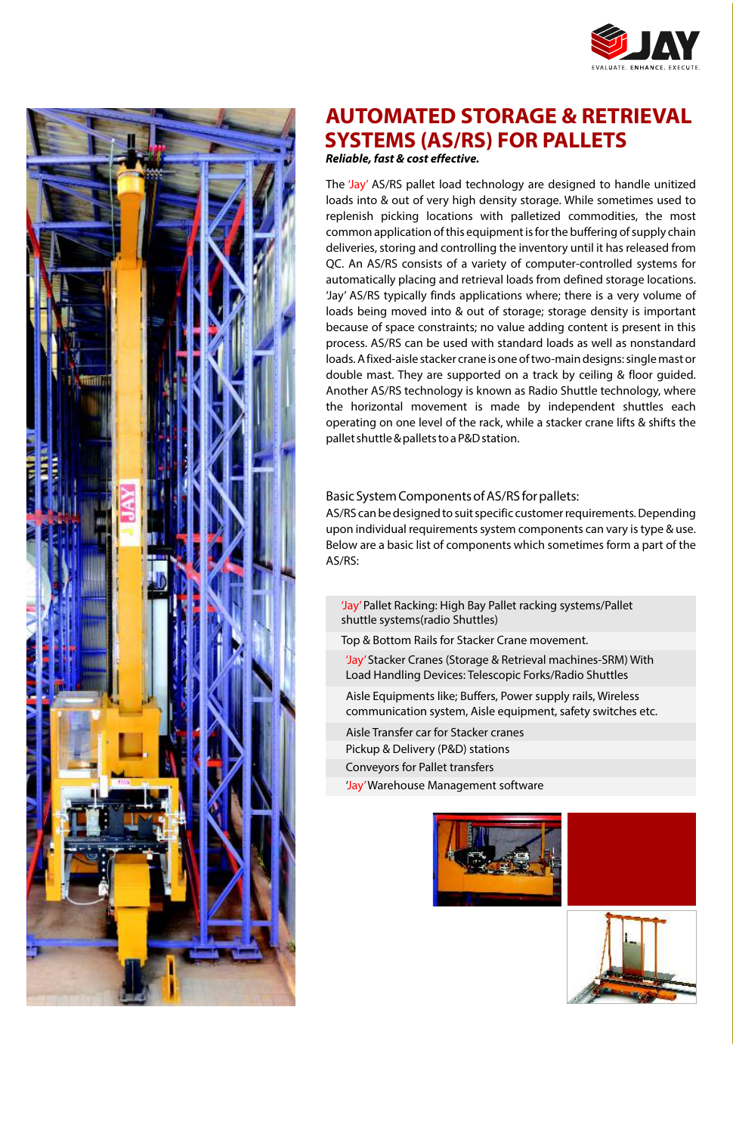



# **AUTOMATED STORAGE & RETRIEVAL SYSTEMS (AS/RS) FOR PALLETS Reliable, fast & cost effective.**

The 'Jay' AS/RS pallet load technology are designed to handle unitized loads into & out of very high density storage. While sometimes used to replenish picking locations with palletized commodities, the most common application of this equipment is for the buffering of supply chain deliveries, storing and controlling the inventory until it has released from QC. An AS/RS consists of a variety of computer-controlled systems for automatically placing and retrieval loads from defined storage locations. 'Jay' AS/RS typically finds applications where; there is a very volume of loads being moved into & out of storage; storage density is important because of space constraints; no value adding content is present in this process. AS/RS can be used with standard loads as well as nonstandard loads. A fixed-aisle stacker crane is one of two-main designs: single mast or double mast. They are supported on a track by ceiling & floor guided. Another AS/RS technology is known as Radio Shuttle technology, where the horizontal movement is made by independent shuttles each operating on one level of the rack, while a stacker crane lifts & shifts the pallet shuttle & pallets to a P&D station.

### Basic System Components of AS/RS for pallets:

AS/RS can be designed to suit specific customer requirements. Depending upon individual requirements system components can vary is type & use. Below are a basic list of components which sometimes form a part of the AS/RS:

- 'Jay'Pallet Racking: High Bay Pallet racking systems/Pallet shuttle systems(radio Shuttles)
- Top & Bottom Rails for Stacker Crane movement.
- 'Jay' Stacker Cranes (Storage & Retrieval machines-SRM) With Load Handling Devices: Telescopic Forks/Radio Shuttles
- Aisle Equipments like; Buffers, Power supply rails, Wireless communication system, Aisle equipment, safety switches etc.
- Aisle Transfer car for Stacker cranes Pickup & Delivery (P&D) stations Conveyors for Pallet transfers
- 
- 'Jay'Warehouse Management software